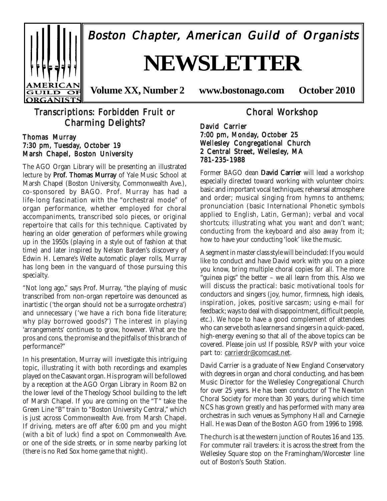

Boston Chapter, American Guild of Organists

# **NEWSLETTER**

**Volume XX, Number 2 www.bostonago.com October 2010**

### Transcriptions: Forbidden Fruit or Charming Delights?

#### Thomas Murray 7:30 pm, Tuesday, October 19 Marsh Chapel, Boston University

The AGO Organ Library will be presenting an illustrated lecture by Prof. Thomas Murray of Yale Music School at Marsh Chapel (Boston University, Commonwealth Ave.), co-sponsored by BAGO. Prof. Murray has had a life-long fascination with the "orchestral mode" of organ performance, whether employed for choral accompaniments, transcribed solo pieces, or original repertoire that calls for this technique. Captivated by hearing an older generation of performers while growing up in the 1950s (playing in a style out of fashion at that time) and later inspired by Nelson Barden's discovery of Edwin H. Lemare's Welte automatic player rolls, Murray has long been in the vanguard of those pursuing this specialty.

"Not long ago," says Prof. Murray, "the playing of music transcribed from non-organ repertoire was denounced as inartistic ('the organ should not be a surrogate orchestra') and unnecessary ('we have a rich bona fide literature; why play borrowed goods?') The interest in playing 'arrangements' continues to grow, however. What are the pros and cons, the promise and the pitfalls of this branch of performance?"

In his presentation, Murray will investigate this intriguing topic, illustrating it with both recordings and examples played on the Casavant organ. His program will be followed by a reception at the AGO Organ Library in Room B2 on the lower level of the Theology School building to the left of Marsh Chapel. If you are coming on the "T" take the Green Line "B" train to "Boston University Central," which is just across Commonwealth Ave. from Marsh Chapel. If driving, meters are off after 6:00 pm and you might (with a bit of luck) find a spot on Commonwealth Ave. or one of the side streets, or in some nearby parking lot (there is no Red Sox home game that night).

Choral Workshop

David Carrier 7:00 pm, Monday, October 25 Wellesley Congregational Church 2 Central Street, Wellesley, MA 781-235-1988

Former BAGO dean David Carrier will lead a workshop especially directed toward working with volunteer choirs: basic and important vocal techniques; rehearsal atmosphere and order; musical singing from hymns to anthems; pronunciation (basic International Phonetic symbols applied to English, Latin, German); verbal and vocal shortcuts; illustrating what you want and don't want; conducting from the keyboard and also away from it; how to have your conducting 'look' like the music.

A segment in master class style will be included: If you would like to conduct and have David work with you on a piece you know, bring multiple choral copies for all. The more "guinea pigs" the better – we all learn from this. Also we will discuss the practical: basic motivational tools for conductors and singers (joy, humor, firmness, high ideals, inspiration, jokes, positive sarcasm; using e-mail for feedback; ways to deal with disappointment, difficult people, etc.). We hope to have a good complement of attendees who can serve both as learners and singers in a quick-paced, high-energy evening so that all of the above topics can be covered. Please join us! If possible, RSVP with your voice part to: carrierdr@comcast.net.

David Carrier is a graduate of New England Conservatory with degrees in organ and choral conducting, and has been Music Director for the Wellesley Congregational Church for over 25 years. He has been conductor of The Newton Choral Society for more than 30 years, during which time NCS has grown greatly and has performed with many area orchestras in such venues as Symphony Hall and Carnegie Hall. He was Dean of the Boston AGO from 1996 to 1998.

The church is at the western junction of Routes 16 and 135. For commuter rail travelers: it is across the street from the Wellesley Square stop on the Framingham/Worcester line out of Boston's South Station.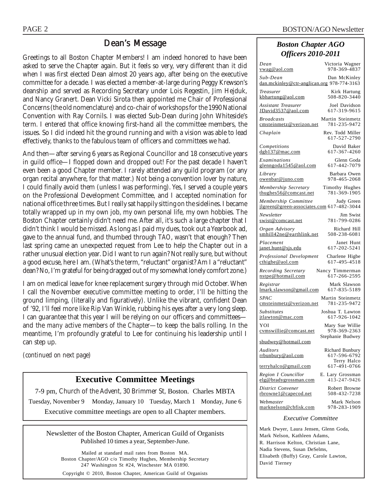### Dean's Message

Greetings to all Boston Chapter Members! I am indeed honored to have been asked to serve the Chapter again. But it feels so very, very different than it did when I was first elected Dean almost 20 years ago, after being on the executive committee for a decade. I was elected a member-at-large during Peggy Krewson's deanship and served as Recording Secretary under Lois Regestin, Jim Hejduk, and Nancy Granert. Dean Vicki Sirota then appointed me Chair of Professional Concerns (the old nomenclature) and co-chair of workshops for the 1990 National Convention with Ray Cornils. I was elected Sub-Dean during John Whiteside's term. I entered that office knowing first-hand all the committee members, the issues. So I did indeed hit the ground running and with a vision was able to lead effectively, thanks to the fabulous team of officers and committees we had.

And then—after serving 6 years as Regional Councillor and 18 consecutive years in guild office—I flopped down and dropped out! For the past decade I haven't even been a good Chapter member. I rarely attended any guild program (or any organ recital anywhere, for that matter.) Not being a convention lover by nature, I could finally avoid them (unless I was performing). Yes, I served a couple years on the Professional Development Committee, and I accepted nomination for national office three times. But I really sat happily sitting on the sidelines. I became totally wrapped up in my own job, my own personal life, my own hobbies. The Boston Chapter certainly didn't need me. After all, it's such a large chapter that I didn't think I would be missed. As long as I paid my dues, took out a Yearbook ad, gave to the annual fund, and thumbed through *TAO*, wasn't that enough? Then last spring came an unexpected request from Lee to help the Chapter out in a rather unusual election year. Did I want to run again? Not really sure, but without a good excuse, here I am. (What's the term, "reluctant" organist? Am I a "reluctant" dean? No, I'm grateful for being dragged out of my somewhat lonely comfort zone.)

I am on medical leave for knee replacement surgery through mid October. When I call the November executive committee meeting to order, I'll be hitting the ground limping, (literally and figuratively). Unlike the vibrant, confident Dean of '92, I'll feel more like Rip Van Winkle, rubbing his eyes after a very long sleep. I can guarantee that this year I will be relying on our officers and committees and the *many active members of the Chapter*—to keep the balls rolling. In the meantime, I'm profoundly grateful to Lee for continuing his leadership until I can step up.

*(continued on next page)*

### **Executive Committee Meetings**

7-9 pm, Church of the Advent, 30 Brimmer St, Boston. Charles MBTA Tuesday, November 9 Monday, January 10 Tuesday, March 1 Monday, June 6 Executive committee meetings are open to all Chapter members.

Newsletter of the Boston Chapter, American Guild of Organists Published 10 times a year, September-June.

Mailed at standard mail rates from Boston MA. Boston Chapter/AGO c/o Timothy Hughes, Membership Secretary 247 Washington St #24, Winchester MA 01890. Copyright © 2010, Boston Chapter, American Guild of Organists

#### *Boston Chapter AGO Officers 2010-2011*

| Dean                                                                         | Victoria Wagner                                |
|------------------------------------------------------------------------------|------------------------------------------------|
| <u>vwag@aol.com</u>                                                          | 978-369-4837                                   |
| Sub-Dean<br>dan.mckinley@ctr-anglican.org 978-774-3163                       | Dan McKinley                                   |
| Treasurer                                                                    | Kirk Hartung                                   |
| kbhartung@aol.com                                                            | 508-820-3440                                   |
| <b>Assistant Treasurer</b>                                                   | Joel Davidson                                  |
| JDavid3537@aol.com                                                           | 617-319-9615                                   |
| <b>Broadcasts</b>                                                            | Martin Steinmetz                               |
| cmsteinmetz@verizon.net                                                      | 781-235-9472                                   |
| Chaplain                                                                     | Rev. Todd Miller<br>617-527-2790               |
| Competitions                                                                 | David Baker                                    |
| $d$ gb137@mac.com                                                            | 617-367-4260                                   |
| Examinations                                                                 | Glenn Goda                                     |
| glenngoda1545@aol.com                                                        | 617-442-7079                                   |
| Library                                                                      | Barbara Owen                                   |
| <u>owenbar@juno.com</u>                                                      | 978-465-2068                                   |
| Membership Secretary                                                         | Timothy Hughes                                 |
| thughes56@comcast.net                                                        | 781-369-1905                                   |
| Membership Committee Judy Green<br>jlgreen@green-associates.com 617-482-3044 |                                                |
| Newsletter                                                                   | Jim Swist                                      |
| swist@comcast.net                                                            | 781-799-0286                                   |
| Organ Advisory                                                               | Richard Hill                                   |
| smhill42ne@earthlink.net                                                     | 508-238-6081                                   |
| Placement                                                                    | Janet Hunt                                     |
| janet.hunt@sjs.edu                                                           | 617-202-5241                                   |
| Professional Development                                                     | Charlene Higbe                                 |
| cthigbe@aol.com                                                              | 617-495-4518                                   |
| Recording Secretary                                                          | Nancy Timmerman                                |
| nstpe@hotmail.com                                                            | 617-266-2595                                   |
| Registrar                                                                    | Mark Slawson                                   |
| lmark.slawson@gmail.com                                                      | 617-835-5189                                   |
| <i>SPAC</i>                                                                  | Martin Steinmetz                               |
| cmsteinmetz@verizon.net                                                      | 781-235-9472                                   |
| <i>Substitutes</i>                                                           | Joshua T. Lawton                               |
| jtlawton@mac.com                                                             | 617-926-1042                                   |
| YOI                                                                          | Mary Sue Willie                                |
| cvmswillie@comcast.net                                                       | 978-369-2363                                   |
| sbudwey@hotmail.com                                                          | Stephanie Budwey                               |
| Auditors<br>rrbunbury@aol.com                                                | Richard Bunbury<br>617-596-6792<br>Terry Halco |
| terryhalco@gmail.com                                                         | 617-491-0766                                   |
| Region I Councillor                                                          | E. Lary Grossman                               |
| elg@bradygrossman.com                                                        | 413-247-9426                                   |
| District Convener                                                            | Robert Browne                                  |
| rbrowne1@capecod.net                                                         | 508-432-7238                                   |
| Webmaster                                                                    | Mark Nelson                                    |
| marknelson@cbfisk.com                                                        | 978-283-1909                                   |
|                                                                              |                                                |

*Executive Committee*

Mark Dwyer, Laura Jensen, Glenn Goda, Mark Nelson, Kathleen Adams, R. Harrison Kelton, Christian Lane, Nadia Stevens, Susan DeSelms, Elisabeth (Buffy) Gray, Carole Lawton, David Tierney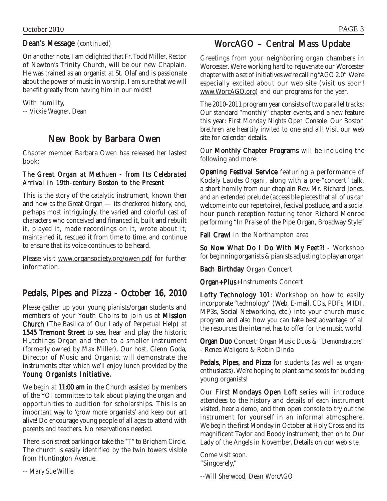### Dean's Message *(continued)*

On another note, I am delighted that Fr. Todd Miller, Rector of Newton's Trinity Church, will be our new Chaplain. He was trained as an organist at St. Olaf and is passionate about the power of music in worship. I am sure that we will benefit greatly from having him in our midst!

With humility, *-- Vickie Wagner, Dean*

### New Book by Barbara Owen

Chapter member Barbara Owen has released her lastest book:

#### *The Great Organ at Methuen - from Its Celebrated* **Arrival in 19th-century Boston to the Present**

This is the story of the catalytic instrument, known then and now as the Great Organ — its checkered history, and, perhaps most intriguingly, the varied and colorful cast of characters who conceived and financed it, built and rebuilt it, played it, made recordings on it, wrote about it, maintained it, rescued it from time to time, and continue to ensure that its voice continues to be heard.

Please visit www.organsociety.org/owen.pdf for further information.

### Pedals, Pipes and Pizza - October 16, 2010

Please gather up your young pianists/organ students and members of your Youth Choirs to join us at **Mission** Church (The Basilica of Our Lady of Perpetual Help) at 1545 Tremont Street to see, hear and play the historic Hutchings Organ and then to a smaller instrument (formerly owned by Max Miller). Our host, Glenn Goda, Director of Music and Organist will demonstrate the instruments after which we'll enjoy lunch provided by the Young Organists Initiative.

We begin at  $11:00$  am in the Church assisted by members of the YOI committee to talk about playing the organ and opportunities to audition for scholarships. This is an important way to 'grow more organists' and keep our art alive! Do encourage young people of all ages to attend with parents and teachers. No reservations needed.

There is on street parking or take the "T" to Brigham Circle. The church is easily identified by the twin towers visible from Huntington Avenue.

*-- Mary Sue Willie*

### WorcAGO – Central Mass Update

Greetings from your neighboring organ chambers in Worcester. We're working hard to rejuvenate our Worcester chapter with a set of initiatives we're calling "AGO 2.0" We're especially excited about our web site (visit us soon! www.WorcAGO.org) and our programs for the year.

The 2010-2011 program year consists of two parallel tracks: Our standard "monthly" chapter events, and a new feature this year: *First Monday Nights Open Console*. Our Boston brethren are heartily invited to one and all! Visit our web site for calendar details.

Our **Monthly Chapter Programs** will be including the following and more:

**Opening Festival Service** featuring a performance of Kodaly *Laudes Organi,* along with a pre-"concert" talk, a short homily from our chaplain Rev. Mr. Richard Jones, and an extended prelude (accessible pieces that all of us can welcome into our repertoire), festival postlude, and a social hour punch reception featuring tenor Richard Monroe performing "In Praise of the Pipe Organ, Broadway Style"

Fall Crawl in the Northampton area

So Now What Do I Do With My Feet?! - Workshop for beginning organists & pianists adjusting to play an organ

Bach Birthday Organ Concert

Organ+Plus+Instruments Concert

Lofty Technology 101: Workshop on how to easily incorporate "technology" (Web, E-mail, CDs, PDFs, MIDI, MP3s, Social Networking, etc.) into your church music program and also how *you* can take best advantage of all the resources the internet has to offer for the music world

Organ Duo Concert: Organ Music Duos & "Demonstrators" - Renea Waligora & Robin Dinda

Pedals, Pipes, and Pizza for students (as well as organenthusiasts). We're hoping to plant some seeds for budding young organists!

Our First Mondays Open Loft series will introduce attendees to the history and details of each instrument visited, hear a demo, and then open console to try out the instrument for yourself in an informal atmosphere. We begin the first Monday in October at Holy Cross and its magnificent Taylor and Boody instrument; then on to Our Lady of the Angels in November. Details on our web site.

Come visit soon. "Singcerely,"

*--Will Sherwood, Dean WorcAGO*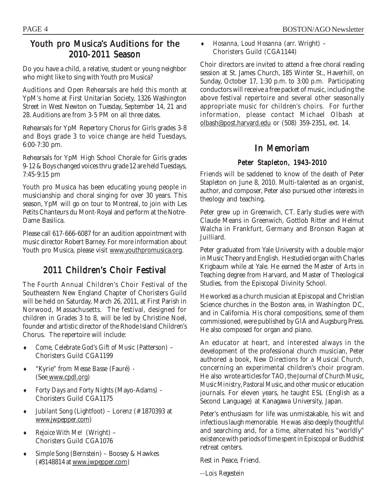### Youth pro Musica's Auditions for the 2010-2011 Season

Do you have a child, a relative, student or young neighbor who might like to sing with Youth pro Musica?

Auditions and Open Rehearsals are held this month at YpM's home at First Unitarian Society, 1326 Washington Street in West Newton on Tuesday, September 14, 21 and 28. Auditions are from 3-5 PM on all three dates.

Rehearsals for YpM Repertory Chorus for Girls grades 3-8 and Boys grade 3 to voice change are held Tuesdays, 6:00-7:30 pm.

Rehearsals for YpM High School Chorale for Girls grades 9-12 & Boys changed voices thru grade 12 are held Tuesdays, 7:45-9:15 pm

Youth pro Musica has been educating young people in musicianship and choral singing for over 30 years. This season, YpM will go on tour to Montreal, to join with Les Petits Chanteurs du Mont-Royal and perform at the Notre-Dame Basilica.

Please call 617-666-6087 for an audition appointment with music director Robert Barney. For more information about Youth pro Musica, please visit www.youthpromusica.org.

## 2011 Children's Choir Festival

The Fourth Annual Children's Choir Festival of the Southeastern New England Chapter of Choristers Guild will be held on Saturday, March 26, 2011, at First Parish in Norwood, Massachusetts. The festival, designed for children in Grades 3 to 8, will be led by Christine Noel, founder and artistic director of the Rhode Island Children's Chorus. The repertoire will include:

- ♦ *Come, Celebrate God's Gift of Music* (Patterson) Choristers Guild CGA1199
- ♦ "Kyrie" from *Messe Basse* (Fauré) (See www.cpdl.org)
- ♦ *Forty Days and Forty Nights* (Mayo-Adams) Choristers Guild CGA1175
- Jubilant Song (Lightfoot) Lorenz (# 1870393 at www.jwpepper.com)
- *Rejoice With Me!* (Wright) Choristers Guild CGA1076
- ♦ *Simple Song* (Bernstein) Boosey & Hawkes (#3148814 at www.jwpepper.com)

♦ *Hosanna, Loud Hosanna* (arr. Wright) – Choristers Guild (CGA1144)

Choir directors are invited to attend a free choral reading session at St. James Church, 185 Winter St., Haverhill, on Sunday, October 17, 1:30 p.m. to 3:00 p.m. Participating conductors will receive a free packet of music, including the above festival repertoire and several other seasonally appropriate music for children's choirs. For further information, please contact Michael Olbash at olbash@post.harvard.edu or (508) 359-2351, ext. 14.

### In Memoriam

#### Peter Stapleton, 1943-2010

Friends will be saddened to know of the death of Peter Stapleton on June 8, 2010. Multi-talented as an organist, author, and composer, Peter also pursued other interests in theology and teaching.

Peter grew up in Greenwich, CT. Early studies were with Claude Means in Greenwich, Gottlob Ritter and Helmut Walcha in Frankfurt, Germany and Bronson Ragan at Juilliard.

Peter graduated from Yale University with a double major in Music Theory and English. He studied organ with Charles Krigbaum while at Yale. He earned the Master of Arts in Teaching degree from Harvard, and Master of Theological Studies, from the Episcopal Divinity School.

He worked as a church musician at Episcopal and Christian Science churches in the Boston area, in Washington DC, and in California. His choral compositions, some of them commissioned, were published by GIA and Augsburg Press. He also composed for organ and piano.

An educator at heart, and interested always in the development of the professional church musician, Peter authored a book, *New Directions for a Musical Church*, concerning an experimental children's choir program. He also wrote articles for *TAO*, the *Journal of Church Music*, *Music Ministry*, *Pastoral Music*, and other music or education journals. For eleven years, he taught ESL (English as a Second Language) at Kanagawa University, Japan.

Peter's enthusiasm for life was unmistakable, his wit and infectious laugh memorable. He was also deeply thoughtful and searching and, for a time, alternated his "worldly" existence with periods of time spent in Episcopal or Buddhist retreat centers.

Rest in Peace, Friend.

--*Lois Regestein*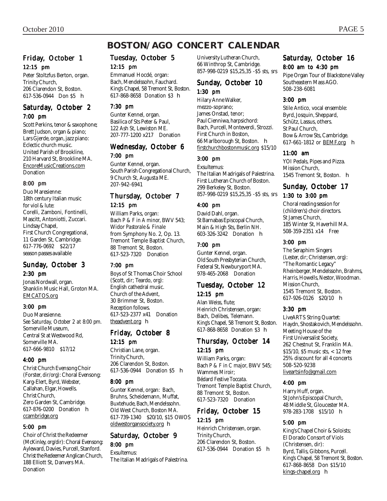### **BOSTON/AGO CONCERT CALENDAR**

#### Friday, October 1 12:15 pm

Peter Stoltzfus Berton, organ. Trinity Church, 206 Clarendon St, Boston. 617-536-0944 Don \$5 **h** 

#### Saturday, October 2 7:00 pm

Scott Perkins, tenor & saxophone; Brett Judson, organ & piano; Lars Gjerde, organ, jazz piano: Eclectic church music. United Parish of Brookline, 210 Harvard St, Brookline MA. EncoreMusicCreations.com Donation

#### 8:00 pm

Duo Maresienne: 18th century Italian music for viol & lute: Corelli, Zamboni, Fontinelli, Mascitt, Antoniotti, Zuccari. Lindsay Chapel, First Church Congregational, 11 Garden St, Cambridge. 617-776-0692 \$22/17 season passes available

#### Sunday, October 3 2:30 pm

Jonas Nordwall, organ. Shanklin Music Hall, Groton MA. EMCATOS.org

#### 3:00 pm

Duo Maresienne. *See Saturday, October 2 at 8:00 pm.* Somerville Museum, Central St at Westwood Rd, Somerville MA. 617-666-9810 \$17/12

#### 4:00 pm

Christ Church Evensong Choir (Forster, *dir/org*): Choral Evensong: Karg-Elert, Byrd, Webster, Callahan, Elgar, Howells. Christ Church, Zero Garden St, Cambridge. 617-876-0200 Donation h ccambridge.org

#### 5:00 pm

Choir of Christ the Redeemer (McKinley, *org/dir*): Choral Evensong: Ayleward, Davies, Purcell, Stanford. Christ the Redeemer Anglican Church, 188 Elliott St, Danvers MA. Donation

### Tuesday, October 5 12:15 pm

Emmanuel Hocdé, organ: Bach, Mendelssohn, Fauchard. King's Chapel, 58 Tremont St, Boston. 617-868-8658 Donation \$3 h

#### 7:30 pm

Gunter Kennel, organ. Basilica of Sts Peter & Paul, 122 Ash St, Lewiston ME. 207-777-1200 x217 Donation

#### Wednesday, October 6 7:00 pm

Gunter Kennel, organ. South Parish Congregational Church, 9 Church St, Augusta ME. 207-942-6941

#### Thursday, October 7 12:15 pm

William Parks, organ: Bach *P & F in A minor,* BWV 543; Widor *Pastorale & Finale* from Symphony No. 2, Op. 13. Tremont Temple Baptist Church, 88 Tremont St, Boston. 617-523-7320 Donation

#### 7:00 pm

Boys of St Thomas Choir School (Scott, *dir*; Teardo, *org*): English cathedral music. Church of the Advent, 30 Brimmer St, Boston. Reception follows. 617-523-2377 x41 Donation theadvent.org **h** 

#### Friday, October 8 12:15 pm

Christian Lane, organ. Trinity Church, 206 Clarendon St, Boston. 617-536-0944 Donation \$5 h

#### 8:00 pm

Gunter Kennel, organ: Bach, Bruhns, Scheidemann, Muffat, Buxtehude, Bach, Mendelssohn. Old West Church, Boston MA. 617-739-1340 \$20/10, \$15 OWOS oldwestorgansociety.org h

#### Saturday, October 9 8:00 pm

### Exsultemus:

The Italian Madrigals of Palestrina.

University Lutheran Church, 66 Winthrop St, Cambridge. 857-998-0219 \$15,25,35 -\$5 sts, srs

#### Sunday, October 10 1:30 pm

Hilary Anne Walker, mezzo-soprano; James Onstad, tenor; Paul Cienniwa, harpsichord: Bach, Purcell, Monteverdi, Strozzi. First Church in Boston, 66 Marlborough St, Boston.  $\blacksquare$ firstchurchbostonmusic.org \$15/10

#### 3:00 pm

Exsultemus: The Italian Madrigals of Palestrina. First Lutheran Church of Boston. 299 Berkeley St, Boston. 857-998-0219 \$15,25,35 -\$5 sts, srs

#### 4:00 pm

David Dahl, organ. St Barnabas Episcopal Church, Main & High Sts, Berlin NH. 603-326-3242 Donation h

#### 7:00 pm

Gunter Kennel, organ. Old South Presbyterian Church, Federal St, Newburyport MA. 978-465-2068 Donation

#### Tuesday, October 12 12:15 pm

Alan Weiss, flute; Heinrich Christensen, organ: Bach, Delibes, Telemann. King's Chapel, 58 Tremont St, Boston. 617-868-8658 Donation \$3 h

### Thursday, October 14

### 12:15 pm

William Parks, organ: Bach *P & F in C major,* BWV 545; Wammes *Miroir;* Bédard *Festive Toccata.* Tremont Temple Baptist Church, 88 Tremont St, Boston. 617-523-7320 Donation

#### Friday, October 15 12:15 pm

Heinrich Christensen, organ. Trinity Church, 206 Clarendon St, Boston. 617-536-0944 Donation \$5 h

#### Saturday, October 16

#### 8:00 am to 4:30 pm

Pipe Organ Tour of Blackstone Valley Southeastern Mass AGO. 508-238-6081

#### 3:00 pm

Stile Antico, vocal ensemble: Byrd, Josquin, Sheppard, Schütz, Lassus, others. St Paul Church, Bow & Arrow Sts, Cambridge. 617-661-1812 or **BEMF**.org **h** 

#### 11:00 am

YOI Pedals, Pipes and Pizza. Mission Church, 1545 Tremont St, Boston. **h** 

### Sunday, October 17

#### 1:30 to 3:00 pm

Choral reading session for (children's) choir directors. St James Church, 185 Winter St, Haverhill MA. 508-359-2351 x14 Free

#### 3:00 pm

The Seraphim Singers (Lester, *dir;* Christensen, *org*): "The Romantic Legacy" Rheinberger, Mendelssohn, Brahms, Harris, Howells, Nestor, Woodman. Mission Church, 1545 Tremont St, Boston. 617-926-0126 \$20/10 h

#### 3:30 pm

LiveARTS String Quartet: Haydn, Shostakovich, Mendelssohn. Meeting House of the First Universalist Society, 262 Chestnut St, Franklin MA. \$15/10, \$5 music sts, < 12 free 25% discount for all 4 concerts 508-520-9238 liveartsinfo@gmail.com

#### 4:00 pm

Harry Huff, organ. St John's Episcopal Church, 48 Middle St, Gloucester MA. 978-283-1708 \$15/10 **h** 

#### 5:00 pm

King's Chapel Choir & Soloists; El Dorado Consort of Viols (Christensen, *dir*): Byrd, Tallis, Gibbons, Purcell. King's Chapel, 58 Tremont St, Boston. 617-868-8658 Don \$15/10 kings-chapel.org  $\blacksquare$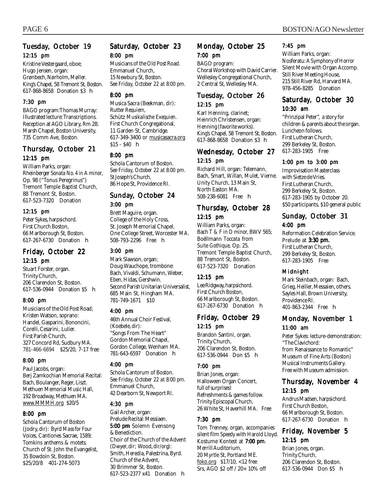### Tuesday, October 19 12:15 pm

Kristine Vestergaard, oboe; Hugo Jensen, organ: Grønbech, Nørholm, Møller. King's Chapel, 58 Tremont St, Boston. 617-868-8658 Donation \$3 h

#### 7:30 pm

BAGO program:Thomas Murray: Illustrated lecture: Transcriptions. Reception at AGO Library, Rm 2B. Marsh Chapel, Boston University, 735 Comm Ave, Boston.

#### Thursday, October 21 12:15 pm

William Parks, organ: Rheinberger *Sonata No. 4 in A minor,* Op. 98 ("Tonus Peregrinus") Tremont Temple Baptist Church, 88 Tremont St, Boston. 617-523-7320 Donation

#### 12:15 pm

Peter Sykes, harpsichord. First Church Boston, 66 Marlborough St, Boston. 617-267-6730 Donation h

### Friday, October 22

12:15 pm

Stuart Forster, organ. Trinity Church, 206 Clarendon St, Boston. 617-536-0944 Donation \$5 h

#### 8:00 pm

Musicians of the Old Post Road; Kristen Watson, soprano: Handel, Gasparini, Bononcini, Corelli, Cesarini, Lulier. First Parish Church, 327 Concord Rd, Sudbury MA. 781-466-6694 \$25/20, 7-17 free

#### 8:00 pm

Paul Jacobs, organ: Berj Zamkochian Memorial Recital: Bach, Boulanger, Reger, Liszt. Methuen Memorial Music Hall, 192 Broadway, Methuen MA. www.MMMH.org \$20/5

#### 8:00 pm

Schola Cantorum of Boston (Jodry, *dir*): Byrd *Mass for Four Voices,* Cantiones Sacrae, 1589; Tomkins anthems & motets. Church of St. John the Evangelist, 35 Bowdoin St, Boston. \$25/20/8 401-274-5073

### Saturday, October 23 8:00 pm

Musicians of the Old Post Road. Emmanuel Church, 15 Newbury St, Boston. *See Friday, October 22 at 8:00 pm.*

#### 8:00 pm

Musica Sacra (Beekman, *dir*): Rutter *Requiem,* Schütz *Musikalische Exequien.* First Church Congregational, 11 Garden St, Cambridge. 617-349-3400 or musicasacra.org  $$15 - $40$  h

#### 8:00 pm

Schola Cantorum of Boston. *See Friday, October 22 at 8:00 pm.* St Joseph's Church, 86 Hope St, Providence RI.

#### Sunday, October 24 3:00 pm

Brett Maguire, organ. College of the Holy Cross, St. Joseph Memorial Chapel, One College Street, Worcester MA. 508-793-2296 Free h

#### 3:00 pm

Mark Slawson, organ; Doug Wauchope, trombone: Bach, Vivaldi, Schumann, Weber, Eben, Hidas, Gershwin. Second Parish Unitarian Universalist, 685 Main St, Hingham MA. 781-749-1671 \$10

#### 4:00 pm

46th Annual Choir Festival, (Koebele, *dir*): "Songs From The Heart" Gordon Memorial Chapel, Gordon College, Wenham MA. 781-643-6597 Donation h

#### 4:00 pm

Schola Cantorum of Boston. *See Friday, October 22 at 8:00 pm.* Emmanuel Church, 42 Dearborn St, Newport RI.

#### 4:30 pm

Gail Archer, organ: Prelude Recital: Messiaen. 5:00 pm Solemn Evensong & Benediction. Choir of the Church of the Advent (Dwyer, *dir;* Wood, *dir/org*): Smith, Heredia, Palestrina, Byrd. Church of the Advent, 30 Brimmer St, Boston. 617-523-2377 x41 Donation h

#### Monday, October 25 7:00 pm

BAGO program: Choral Workshop with David Carrier. Wellesley Congregational Church, 2 Central St, Wellesley MA.

#### Tuesday, October 26 12:15 pm

Karl Henning, clarinet; Heinrich Christensen, organ: Henning (favorite works). King's Chapel, 58 Tremont St, Boston. 617-868-8658 Donation \$3 h

#### Wednesday, October 27 12:15 pm

Richard Hill, organ: Telemann, Bach, Smart, Willan, Mulet, Vierne. Unity Church, 13 Main St, North Easton MA. 508-238-6081 Free h

#### Thursday, October 28 12:15 pm

William Parks, organ: Bach *T & F in D minor,* BWV 565; Boëllmann *Toccata* from *Suite Gothique,* Op. 25. Tremont Temple Baptist Church, 88 Tremont St, Boston. 617-523-7320 Donation

#### 12:15 pm

Lee Ridgway, harpsichord. First Church Boston, 66 Marlborough St, Boston. 617-267-6730 Donation h

#### Friday, October 29 12:15 pm

Brandon Santini, organ. Trinity Church, 206 Clarendon St, Boston. 617-536-0944 Don \$5 h

#### 7:00 pm

Brian Jones, organ: Halloween Organ Concert, full of surprises! Refreshments & games follow. Trinity Episcopal Church, 26 White St, Haverhill MA. Free

#### 7:30 pm

Tom Trenney, organ, accompanies silent film *Speedy* with Harold Lloyd. Kostume Kontest at 7:00 pm. Merrill Auditorium, 20 Myrtle St, Portland ME. foko.org \$17/10, <12 free Srs, AGO \$2 off / 20+ 10% off

#### 7:45 pm

William Parks, organ: Nosferatu: *A Symphony of Horror* Silent Movie with Organ Accomp. Still River Meeting House, 215 Still River Rd, Harvard MA. 978-456-8285 Donation

### Saturday, October 30

#### 10:30 am

"Prinzipal Peter", a story for children & parents about the organ. Luncheon follows. First Lutheran Church, 299 Berkeley St, Boston. 617-283-1905 Free

#### 1:00 pm to 3:00 pm

Improvisation Masterclass with Sietze de Vries. First Lutheran Church, 299 Berkeley St, Boston. 617-283-1905 by October 20. \$50 participants, \$10 general public

#### Sunday, October 31 4:00 pm

Reformation Celebration Service. Prelude at 3:30 pm. First Lutheran Church, 299 Berkeley St, Boston. 617-283-1905 Free

#### Midnight

Mark Steinbach, organ: Bach, Grieg, Heiller, Messaien, others. Sayles Hall, Brown University, Providence RI. 401-863-2344 Free **h** 

#### Monday, November 1 11:00 am

Peter Sykes: lecture-demonstration: "The Clavichord: from Renaissance to Romantic" Museum of Fine Arts (Boston) Musical Instruments Gallery. Free with Museum admission.

#### Thursday, November 4 12:15 pm

Andrus Madsen, harpsichord. First Church Boston, 66 Marlborough St, Boston. 617-267-6730 Donation h

#### Friday, November 5 12:15 pm

Brian Jones, organ. Trinity Church, 206 Clarendon St, Boston. 617-536-0944 Don \$5 h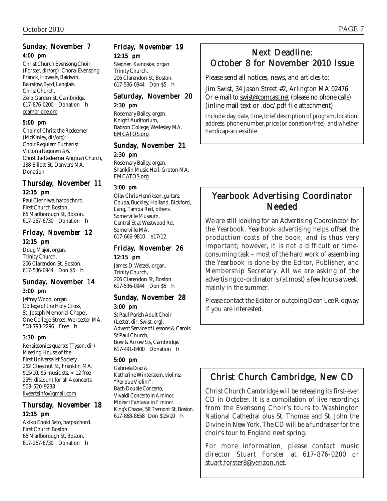#### Sunday, November 7 4:00 pm

Christ Church Evensong Choir (Forster, *dir/org*): Choral Evensong: Franck, Howells, Baldwin, Bairstow, Byrd, Langlais. Christ Church, Zero Garden St, Cambridge. 617-876-0200 Donation h ccambridge.org

#### 5:00 pm

Choir of Christ the Redeemer (McKinley, *dir/org*): Choir Requiem Eucharist: Victoria *Requiem à 6.* Christ the Redeemer Anglican Church, 188 Elliott St, Danvers MA. Donation

#### Thursday, November 11

#### 12:15 pm

Paul Cienniwa, harpsichord. First Church Boston, 66 Marlborough St, Boston. 617-267-6730 Donation h

#### Friday, November 12 12:15 pm

Doug Major, organ. Trinity Church, 206 Clarendon St, Boston. 617-536-0944 Don \$5 h

#### Sunday, November 14 3:00 pm

Jeffrey Wood, organ. College of the Holy Cross, St. Joseph Memorial Chapel, One College Street, Worcester MA. 508-793-2296 Free h

#### 3:30 pm

Renaissonics quartet (Tyson, *dir*). Meeting House of the First Universalist Society, 262 Chestnut St, Franklin MA. \$15/10, \$5 music sts, < 12 free 25% discount for all 4 concerts 508-520-9238 liveartsinfo@gmail.com

#### Thursday, November 18 12:15 pm

Akiko Enoki Sato, harpsichord. First Church Boston, 66 Marlborough St, Boston. 617-267-6730 Donation h

### Friday, November 19 12:15 pm

Stephen Kalnoske, organ. Trinity Church, 206 Clarendon St, Boston. 617-536-0944 Don \$5 h

#### Saturday, November 20 2:30 pm

Rosemary Bailey, organ. Knight Auditorium, Babson College, Wellesley MA. EMCATOS.org

#### Sunday, November 21 2:30 pm

Rosemary Bailey, organ. Shanklin Music Hall, Groton MA. EMCATOS.org

#### 3:00 pm

Olav Chris Henriksen, guitars: Coupa, Buckley, Holland, Bickford, Lang, Tampa Red, others. Somerville Museum, Central St at Westwood Rd, Somerville MA. 617-666-9810 \$17/12

Friday, November 26 12:15 pm James D Wetzel, organ. Trinity Church,

206 Clarendon St, Boston. 617-536-0944 Don \$5 h

#### Sunday, November 28 3:00 pm

St Paul Parish Adult Choir (Lester, *dir*; Swist, *org*): Advent Service of Lessons & Carols. St Paul Church, Bow & Arrow Sts, Cambridge. 617-491-8400 Donation h

#### 5:00 pm

Gabriela Diaz & Katherine Winterstein, violins: "Per due Violini": Bach *Double Concerto,* Vivaldi *Concerto in A minor,* Mozart *Fantasia in F minor.* King's Chapel, 58 Tremont St, Boston. 617-868-8658 Don \$15/10 h

### Next Deadline: October 8 for November 2010 Issue

Please send all notices, news, and articles to:

Jim Swist, 34 Jason Street #2, Arlington MA 02476 Or e-mail to swist@comcast.net (please no phone calls) (inline mail text or .doc/.pdf file attachment)

Include: day, date, time, brief description of program, location, address, phone number, price (or donation/free), and whether handicap-accessible.

### Yearbook Advertising Coordinator Needed

We are still looking for an Advertising Coordinator for the Yearbook. Yearbook advertising helps offset the production costs of the book, and is thus very important; however, it is not a difficult or timeconsuming task – most of the hard work of assembling the Yearbook is done by the Editor, Publisher, and Membership Secretary. All we are asking of the advertising co-ordinator is (at most) a few hours a week, mainly in the summer.

Please contact the Editor or outgoing Dean Lee Ridgway if you are interested.

## Christ Church Cambridge, New CD

Christ Church Cambridge will be releasing its first-ever CD in October. It is a compilation of live recordings from the Evensong Choir's tours to Washington National Cathedral plus St. Thomas and St. John the Divine in New York. The CD will be a fundraiser for the choir's tour to England next spring.

For more information, please contact music director Stuart Forster at 617-876-0200 or stuart.forster8@verizon.net.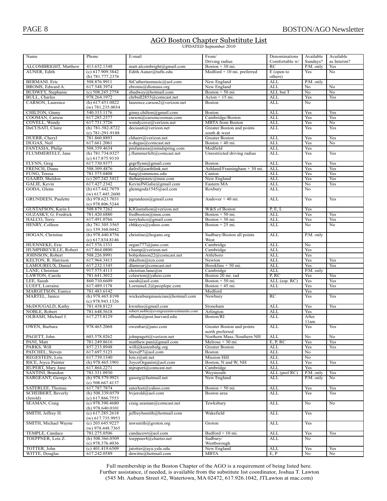╞

#### AGO Boston Chapter Substitute List UPDATED September 2010

| Name                       | Phone                                    | E-mail                                | From/                                        | Denominations        | Available             | Available          |
|----------------------------|------------------------------------------|---------------------------------------|----------------------------------------------|----------------------|-----------------------|--------------------|
| ALCOMBRIGHT, Matthew       | 413.652.1348                             | matt.alcombright@gmail.com            | Driving radius<br>Boston $+30$ mi.           | Comfortable w/<br>RC | Sundays?<br>P.M. only | as Interim?<br>Yes |
| <b>AUNER, Edith</b>        | (c) 617.909.3842                         | Edith.Auner@tufts.edu                 | $Medford + 10 mi$ . preferred                | $E$ (open to         | Yes                   | No                 |
|                            | (h) 781.777.2376                         |                                       |                                              | others)              |                       |                    |
| <b>BERMANI</b> . Eric      | 508.876.9911                             | StCatherinemusic@aol.com              | New England                                  | <b>ALL</b>           | P.M. only             |                    |
| BROMS, Edward A.           | 617.548.3974                             | ebroms@diomass.org                    | New England                                  | <b>ALL</b>           | No                    | No                 |
| <b>BUDWEY, Stephanie</b>   | $(c)$ 508.245.2758                       | sbudwey@hotmail.com                   | Boston $+50$ mi.                             | ALL but T            | No                    | No                 |
| <b>BULL</b> , Charles      | 978.264.1972                             | chrbull2855@comcast.net               | $Action + 15 mi.$                            | <b>ALL</b>           | Yes                   | Yes                |
| CARSON, Laurence           | (h) 617.451.0822<br>$(w)$ 781.235.0034   | laurence.carson2@verizon.net          | <b>Boston</b>                                | <b>ALL</b>           | No.                   |                    |
| CHILTON, Ginny             | 540.333.1176                             | ginny.chilton@gmail.com               | Boston                                       | ALL                  | Yes                   | Yes                |
| COOMAN, Carson             | 617.285.2577                             | carson@carsoncooman.com               | Cambridge/Boston                             | <b>ALL</b>           | Yes                   | Yes                |
| COVELL, Wendy              | 617.731.3726                             | wendycove@verizon.net                 | <b>MBTA</b> from Boston                      | <b>ALL</b>           | Yes                   | No                 |
| DeCUSATI, Claire           | $(h)$ 781-582-8722<br>$(c)$ 781-291-9188 | decusati@verizon.net                  | Greater Boston and points<br>south & west    | <b>ALL</b>           | Yes                   | Yes                |
| DUERR, Cheryl              | 781.860.8893                             | clduerr@verizon.net                   | Greater Boston                               | ALL                  | Yes                   | Yes                |
| DUGAS, Neil                | 617.661.2061                             | n-dugas@comcast.net                   | Boston $+40$ mi.                             | ALL                  | Yes                   | No                 |
| FANTASIA, Philip           | 508.359.4634                             | pmfantasia@mindspring.com             | Medfield                                     | <b>ALL</b>           | Yes                   |                    |
| FLUMMERFELT, Jane          | (h) 781.734.0327<br>(c) 617.875.9310     | j.flummerfelt@comcast.net             | Unrestricted driving radius                  | <b>ALL</b>           | Yes                   | Yes                |
| FLYNN, Greg                | 617.730.9377                             | grgrflynn@gmail.com                   | <b>Boston</b>                                | ALL                  | Yes                   | Yes                |
| FRENCH, Diane              | 508.309.4876                             | dafrsf@earthlink.net                  | Ashland/Framingham $+30$ mi.                 | <b>ALL</b>           | Yes                   | Yes                |
| FUNG, Teresa               | 781.575.0408                             | fung@simmons.edu                      | Canton                                       | ALL                  | Yes                   | Yes                |
| GAARD, Sheldon             | $(c)$ 207.242.3412                       | the harpistetc@msn.com                | New England                                  | ALL                  | Yes                   | Yes                |
| GALIÉ, Kevin               | 617.427.2342                             | KevinJNGalie@gmail.com                | Eastern MA                                   | <b>ALL</b>           | No                    | Yes                |
| GODA, Glenn                | (h) 617.442.7079<br>$(w)$ 617.445.2600   | glenngoda1545@aol.com                 | Roxbury                                      | <b>ALL</b>           | No                    |                    |
| <b>GRUNDEEN</b> , Paulette | (h) 978.623.7031<br>$(c)$ 978.806.5244   | pgrundeen@gmail.com                   | Andover $+40$ mi.                            | ALL                  | Yes                   | Yes                |
| GUSTAFSON, Karin J.        | 508.879.7262                             | KJGustafson@verizon.net               | W&S of Boston                                | P, E, L              | Yes                   |                    |
| GUZASKY, G. Fredrick       | 781.420.6880                             | fredboston@msn.com                    | Boston $+50$ mi.                             | <b>ALL</b>           | Yes                   | Yes                |
| HALCO, Terry               | 617.491.0766                             | terryhalco@gmail.com                  | Boston $+30$ mi.                             | ALL                  | Yes                   | Yes                |
| <b>HENRY, Colleen</b>      | (h) 781.305.3565<br>$(c)$ 339.368.0442   | cbhkeys@yahoo.com                     | Boston $+25$ mi.                             | ALL                  | No                    | No                 |
| HOGAN, Christine           | (h) 978.440.8756<br>(c) 617.834.8146     | christine@hogans.org                  | Sudbury/Boston all points<br>West            | <b>ALL</b>           | P.M. only             |                    |
| <b>HUENNEKE, Eric</b>      | 617.576.1331                             | organ777@juno.com                     | Cambridge                                    | <b>ALL</b>           | No                    |                    |
| HUMPHREVILLE, Robert       | 617.864.0800                             | $r.$ hump@verizon.net                 | Cambridge                                    | ALL                  | Yes                   |                    |
| JOHNSON, Robert            | 508.226.8991                             | bobjohnson22@comcast.net              | Attleboro                                    | <b>ALL</b>           | Yes                   |                    |
| KELTON, R. Harrison        | 617.964.3413                             | rhkelton@rcn.com                      | Newton                                       | ALL                  | Yes                   | Yes                |
| LAMOUREUX, Daniel          | 617.232.1345                             | dlamour@comcast.net                   | Brookline + 50 mi.                           | <b>ALL</b>           | Yes                   | Yes                |
| LANE, Christian            | 917.575.4113                             | christian.lane@m                      | Cambridge                                    | ALL                  | P.M. only             |                    |
| LAWTON, Carole             | 781.641.3012                             | czlawton@yahoo.com                    | Boston 20 mi. rad                            | P, RC                | Yes                   | Yes                |
| LEE, Saeah                 | 860.710.6609                             | saeah@aol.com                         | Boston $+50$ mi.                             | ALL (esp. RC)        | Yes                   | Yes                |
| LUEFT, Lorraine            | 617.489.1178                             | LorraineL2@peoplepc.com               | Boston $+45$ mi.                             | ALL                  | Yes                   | Yes                |
| MARGETSON, Eunice          | 781.483.6142                             |                                       | Medford                                      |                      | Yes                   |                    |
| <b>MARTEL</b> , Janice     | (h) 978.465.8198<br>$(c)$ 978.943.1326   | wickenburgmusician@hotmail.com        | Newbury                                      | RC                   | Yes                   | Yes                |
| McDOUGALD, Kathy           | 781.438.8123                             | kwmlee@gmail.com                      | Stoneham                                     | <b>ALL</b>           | Yes                   | Yes                |
| NOBLE, Robert              | 781.648.5618                             | robert.noble@evergreeninvestments.com | Arlington                                    | ALL                  | Yes                   |                    |
| OLBASH, Michael J.         | 617.275.8129                             | olbash@post.harvard.edu               | Boston/RI                                    | <b>ALL</b>           | After<br>11am         |                    |
| <b>OWEN</b> , Barbara      | 978.465.2068                             | owenbar@juno.com                      | Greater Boston and points<br>north preferred | <b>ALL</b>           | Yes                   | Yes                |
| PAGETT, John               | 603.578.0262                             | johnpagett@verizon.net                | Northern Mass./Southern NH                   | ALL                  | No                    | No                 |
| PANI, Matt                 | 781.249.8616                             | matthew.pani@gmail.com                | Melrose + 30 mi.                             | E, P, RC             | Yes                   | Yes                |
| PARKS, Will                | 857.233.8948                             | will@kastenbalg.org                   | Greater Boston                               | <b>ALL</b>           | Yes                   | Yes                |
| PATCHEL, Steven            | 617.697.5123                             | SteveP7@aol.com                       | <b>Boston</b>                                | ALL                  | No                    |                    |
| REGESTEIN, Lois            | 617.739.1340                             | lois.r@att.net                        | Mission Hill                                 | ALL                  | No                    |                    |
| RICE, Joyce Painter        | (h) 978.465.1901                         | JoyceOrganist@aol.com                 | Boston, N and W, NH                          | <b>ALL</b>           | Yes                   | Yes                |
| <b>RUPERT, Mary Jane</b>   | 617.864.2271                             | mjrupert@comcast.net                  | Cambridge                                    | <b>ALL</b>           | Yes                   |                    |
| SANTINI, Brandon           | 781.331.0930                             |                                       | Weymouth                                     | ALL (pref RC)        | P.M. only             | Yes                |
| SARGEANT, George A.        | (h) 978.579.9921<br>$(c)$ 508.667.4137   | gasorg@fastmail.net                   | New England                                  | ALL                  | P.M. only             | No                 |
| SATERLEE, Thomas           | 617.787.7874                             | saterleet@yahoo.com                   | Boston $+50$ mi.                             | ALL                  | Yes                   | Yes                |
| <b>SCHEIBERT, Beverly</b>  | (h) 508.339.0579                         | bvjerold@aol.com                      | Boston area                                  | ALL                  | Yes                   | Yes                |
| (Jerold)                   | (c) 617.866.7553                         |                                       |                                              |                      |                       |                    |
| <b>SEAMAN, Craig</b>       | $(c)$ 978.390.4680<br>(h) $978.640.0101$ | craig.seaman@comcast.net              | Tewksbury                                    | ALL                  | No                    | No                 |
| SMITH, Jeffrey H.          | (c) 617.285.2618<br>$(w)$ 617.735.9953   | jeffreyhsmith@hotmail.com             | Wakefield                                    | ALL                  | Yes                   |                    |
| SMITH, Michael Wayne       | $(c)$ 203.645.9227<br>$(w)$ 978.448.7365 | mwsmith@groton.org                    | Groton                                       | ALL                  | Yes                   |                    |
| TEMPLE, Candace            | 781.275.0506                             | candacewt@aol.com                     | Bedford + 10 mi.                             | ALL                  | Yes                   | Yes                |
| TOEPPNER, Lois Z.          | (h) $508.366.0509$                       | toeppner4@charter.net                 | Sudbury/                                     | ALL                  | No                    |                    |
|                            | $(c)$ 978.376.4036                       |                                       | Westborough                                  |                      |                       |                    |
| TOTTER, John               | $(c)$ 401.419.6509                       | jatotter@aya.yale.edu                 | New England                                  | ALL                  | Yes                   | Yes                |
| WITTE, Douglas             | 617.242.0589                             | dnwitte@hotmail.com                   | MBTA                                         | E, P                 | No                    | No                 |

Full membership in the Boston Chapter of the  $AGO$  is a requirement of being listed here. Further assistance, if needed, is available from the substitute list coordinator. Joshua T. Lawton (545 Mt. Auburn Street #2, Watertown, MA 02472, 617.926.1042, JTLawton at mac.com)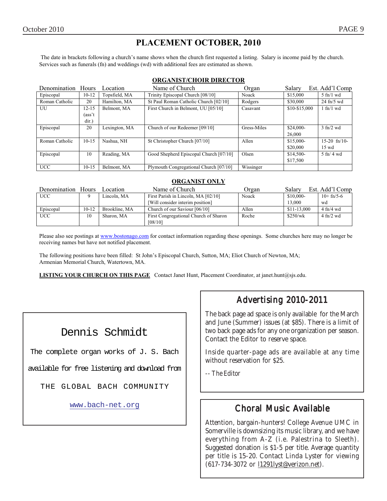### **PLACEMENT OCTOBER, 2010**

 The date in brackets following a church's name shows when the church first requested a listing. Salary is income paid by the church. Services such as funerals (fn) and weddings (wd) with additional fees are estimated as shown.

#### **ORGANIST/CHOIR DIRECTOR**

| Denomination Hours |           | Location      | Name of Church                         | Organ       | Salary        | Est. Add'l Comp       |
|--------------------|-----------|---------------|----------------------------------------|-------------|---------------|-----------------------|
| Episcopal          | $10 - 12$ | Topsfield, MA | Trinity Episcopal Church [08/10]       | Noack       | \$15,000      | $5$ fn/1 wd           |
| Roman Catholic     | 20        | Hamilton, MA  | St Paul Roman Catholic Church [02/10]  | Rodgers     | \$30,000      | $24$ fn/5 wd          |
| UU                 | $12 - 15$ | Belmont, MA   | First Church in Belmont, UU [05/10]    | Casavant    | \$10-\$15,000 | $1$ fn/ $1$ wd        |
|                    | (ass't    |               |                                        |             |               |                       |
|                    | dir.)     |               |                                        |             |               |                       |
| Episcopal          | 20        | Lexington, MA | Church of our Redeemer [09/10]         | Gress-Miles | \$24,000-     | $3 \text{ ft}$ /2 wd  |
|                    |           |               |                                        |             | 26,000        |                       |
| Roman Catholic     | $10-15$   | Nashua, NH    | St Christopher Church [07/10]          | Allen       | $$15,000-$    | $15-20$ fn/10-        |
|                    |           |               |                                        |             | \$20,000      | $15 \text{ wd}$       |
| Episcopal          | 10        | Reading, MA   | Good Shepherd Episcopal Church [07/10] | Olsen       | \$14,500-     | $5 \text{ ft}$ / 4 wd |
|                    |           |               |                                        |             | \$17,500      |                       |
| <b>UCC</b>         | $10-15$   | Belmont, MA   | Plymouth Congregational Church [07/10] | Wissinger   |               |                       |

#### **ORGANIST ONLY**

| Denomination Hours |           | Location      | Name of Church                        | Organ | Salary      | Est. Add'l Comp             |
|--------------------|-----------|---------------|---------------------------------------|-------|-------------|-----------------------------|
| <b>UCC</b>         |           | Lincoln, MA   | First Parish in Lincoln, MA [02/10]   | Noack | \$10,000-   | $10+fn/5-6$                 |
|                    |           |               | [Will consider interim position]      |       | 13,000      | wd                          |
| Episcopal          | $10 - 12$ | Brookline, MA | Church of our Saviour [06/10]         | Allen | \$11-13,000 | $4 \text{ fn}/4 \text{ wd}$ |
| <b>UCC</b>         | 10        | Sharon, MA    | First Congregational Church of Sharon | Roche | \$250/wk    | $4 \text{ ft}/2 \text{ wd}$ |
|                    |           |               | [08/10]                               |       |             |                             |

Please also see postings at www.bostonago.com for contact information regarding these openings. Some churches here may no longer be receiving names but have not notified placement.

The following positions have been filled: St John's Episcopal Church, Sutton, MA; Eliot Church of Newton, MA; Armenian Memorial Church, Watertown, MA.

**LISTING YOUR CHURCH ON THIS PAGE** Contact Janet Hunt, Placement Coordinator, at janet.hunt@sjs.edu.

### Dennis Schmidt

The complete organ works of J. S. Bach

available for free listening and download from

THE GLOBAL BACH COMMUNITY

www.bach-net.org

### Advertising 2010-2011

The back page ad space is only available for the March and June (Summer) issues (at \$85). There is a limit of two back page ads for any one organization per season. Contact the Editor to reserve space.

Inside quarter-page ads are available at any time without reservation for \$25.

*-- The Editor*

### Choral Music Available

Attention, bargain-hunters! College Avenue UMC in Somerville is downsizing its music library, and we have everything from A-Z (i.e. Palestrina to Sleeth). Suggested donation is \$1-5 per title. Average quantity per title is 15-20. Contact Linda Lyster for viewing (617-734-3072 or l1291lyst@verizon.net).